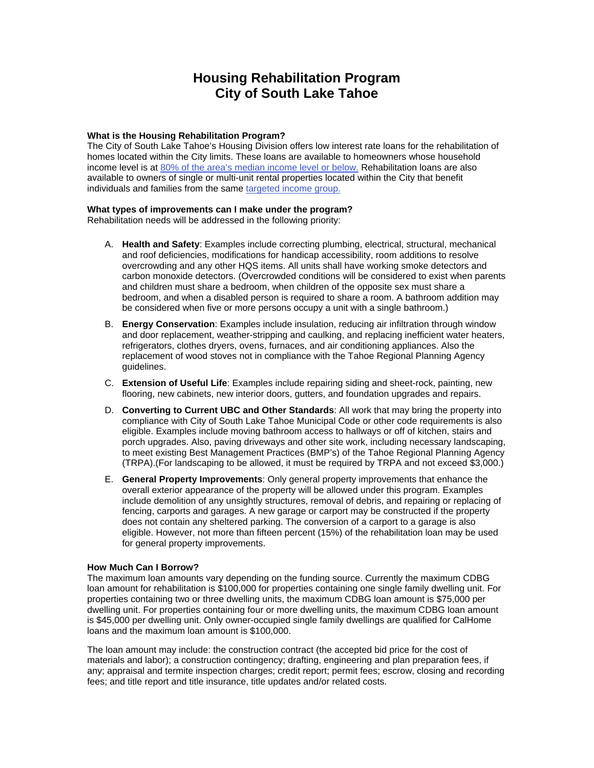# **Housing Rehabilitation Program City of South Lake Tahoe**

# **What is the Housing Rehabilitation Program?**

The City of South Lake Tahoe's Housing Division offers low interest rate loans for the rehabilitation of homes located within the City limits. These loans are available to homeowners whose household income level is at 80% of the area's median income level or below. Rehabilitation loans are also available to owners of single or multi-unit rental properties located within the City that benefit individuals and families from the same targeted income group.

## **What types of improvements can I make under the program?**

Rehabilitation needs will be addressed in the following priority:

- A. **Health and Safety**: Examples include correcting plumbing, electrical, structural, mechanical and roof deficiencies, modifications for handicap accessibility, room additions to resolve overcrowding and any other HQS items. All units shall have working smoke detectors and carbon monoxide detectors. (Overcrowded conditions will be considered to exist when parents and children must share a bedroom, when children of the opposite sex must share a bedroom, and when a disabled person is required to share a room. A bathroom addition may be considered when five or more persons occupy a unit with a single bathroom.)
- B. **Energy Conservation**: Examples include insulation, reducing air infiltration through window and door replacement, weather-stripping and caulking, and replacing inefficient water heaters, refrigerators, clothes dryers, ovens, furnaces, and air conditioning appliances. Also the replacement of wood stoves not in compliance with the Tahoe Regional Planning Agency guidelines.
- C. **Extension of Useful Life**: Examples include repairing siding and sheet-rock, painting, new flooring, new cabinets, new interior doors, gutters, and foundation upgrades and repairs.
- D. **Converting to Current UBC and Other Standards**: All work that may bring the property into compliance with City of South Lake Tahoe Municipal Code or other code requirements is also eligible. Examples include moving bathroom access to hallways or off of kitchen, stairs and porch upgrades. Also, paving driveways and other site work, including necessary landscaping, to meet existing Best Management Practices (BMP's) of the Tahoe Regional Planning Agency (TRPA).(For landscaping to be allowed, it must be required by TRPA and not exceed \$3,000.)
- E. **General Property Improvements**: Only general property improvements that enhance the overall exterior appearance of the property will be allowed under this program. Examples include demolition of any unsightly structures, removal of debris, and repairing or replacing of fencing, carports and garages. A new garage or carport may be constructed if the property does not contain any sheltered parking. The conversion of a carport to a garage is also eligible. However, not more than fifteen percent (15%) of the rehabilitation loan may be used for general property improvements.

# **How Much Can I Borrow?**

The maximum loan amounts vary depending on the funding source. Currently the maximum CDBG loan amount for rehabilitation is \$100,000 for properties containing one single family dwelling unit. For properties containing two or three dwelling units, the maximum CDBG loan amount is \$75,000 per dwelling unit. For properties containing four or more dwelling units, the maximum CDBG loan amount is \$45,000 per dwelling unit. Only owner-occupied single family dwellings are qualified for CalHome loans and the maximum loan amount is \$100,000.

The loan amount may include: the construction contract (the accepted bid price for the cost of materials and labor); a construction contingency; drafting, engineering and plan preparation fees, if any; appraisal and termite inspection charges; credit report; permit fees; escrow, closing and recording fees; and title report and title insurance, title updates and/or related costs.